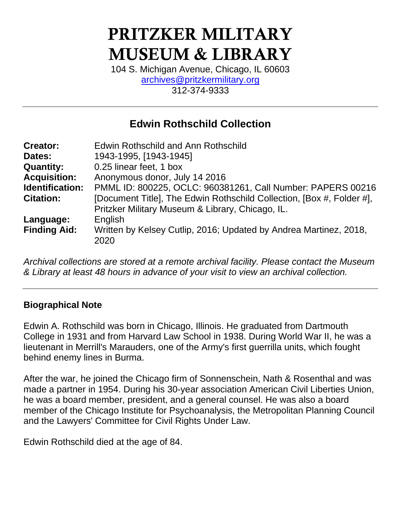# PRITZKER MILITARY MUSEUM & LIBRARY

104 S. Michigan Avenue, Chicago, IL 60603 [archives@pritzkermilitary.org](mailto:archives@pritzkermilitary.org) 312-374-9333

# **Edwin Rothschild Collection**

| <b>Creator:</b>     | Edwin Rothschild and Ann Rothschild                                   |
|---------------------|-----------------------------------------------------------------------|
| Dates:              | 1943-1995, [1943-1945]                                                |
| <b>Quantity:</b>    | 0.25 linear feet, 1 box                                               |
| <b>Acquisition:</b> | Anonymous donor, July 14 2016                                         |
| Identification:     | PMML ID: 800225, OCLC: 960381261, Call Number: PAPERS 00216           |
| <b>Citation:</b>    | [Document Title], The Edwin Rothschild Collection, [Box #, Folder #], |
|                     | Pritzker Military Museum & Library, Chicago, IL.                      |
| Language:           | English                                                               |
| <b>Finding Aid:</b> | Written by Kelsey Cutlip, 2016; Updated by Andrea Martinez, 2018,     |
|                     | 2020                                                                  |
|                     |                                                                       |

*Archival collections are stored at a remote archival facility. Please contact the Museum & Library at least 48 hours in advance of your visit to view an archival collection.*

# **Biographical Note**

Edwin A. Rothschild was born in Chicago, Illinois. He graduated from Dartmouth College in 1931 and from Harvard Law School in 1938. During World War II, he was a lieutenant in Merrill's Marauders, one of the Army's first guerrilla units, which fought behind enemy lines in Burma.

After the war, he joined the Chicago firm of Sonnenschein, Nath & Rosenthal and was made a partner in 1954. During his 30-year association American Civil Liberties Union, he was a board member, president, and a general counsel. He was also a board member of the Chicago Institute for Psychoanalysis, the Metropolitan Planning Council and the Lawyers' Committee for Civil Rights Under Law.

Edwin Rothschild died at the age of 84.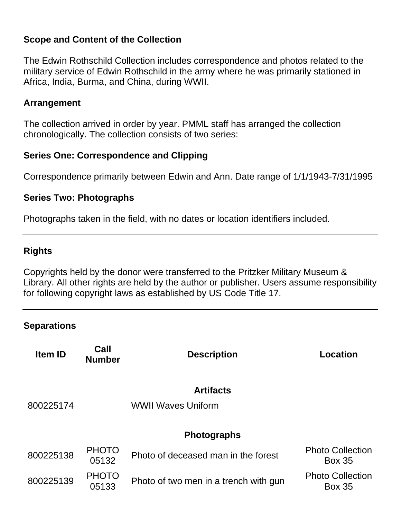# **Scope and Content of the Collection**

The Edwin Rothschild Collection includes correspondence and photos related to the military service of Edwin Rothschild in the army where he was primarily stationed in Africa, India, Burma, and China, during WWII.

#### **Arrangement**

The collection arrived in order by year. PMML staff has arranged the collection chronologically. The collection consists of two series:

### **Series One: Correspondence and Clipping**

Correspondence primarily between Edwin and Ann. Date range of 1/1/1943-7/31/1995

#### **Series Two: Photographs**

Photographs taken in the field, with no dates or location identifiers included.

# **Rights**

Copyrights held by the donor were transferred to the Pritzker Military Museum & Library. All other rights are held by the author or publisher. Users assume responsibility for following copyright laws as established by US Code Title 17.

#### **Separations**

| <b>Item ID</b> | Call<br><b>Number</b> | <b>Description</b>                    | <b>Location</b>                          |
|----------------|-----------------------|---------------------------------------|------------------------------------------|
|                |                       | <b>Artifacts</b>                      |                                          |
| 800225174      |                       | <b>WWII Waves Uniform</b>             |                                          |
|                |                       | <b>Photographs</b>                    |                                          |
| 800225138      | <b>PHOTO</b><br>05132 | Photo of deceased man in the forest   | <b>Photo Collection</b><br><b>Box 35</b> |
| 800225139      | <b>PHOTO</b><br>05133 | Photo of two men in a trench with gun | <b>Photo Collection</b><br><b>Box 35</b> |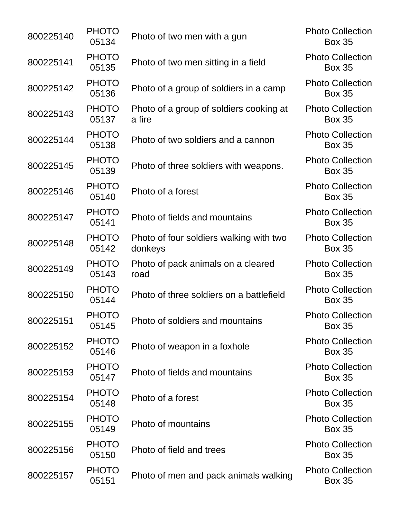| 800225140 | <b>PHOTO</b><br>05134 | Photo of two men with a gun                        | <b>Photo Collection</b><br><b>Box 35</b> |
|-----------|-----------------------|----------------------------------------------------|------------------------------------------|
| 800225141 | <b>PHOTO</b><br>05135 | Photo of two men sitting in a field                | <b>Photo Collection</b><br><b>Box 35</b> |
| 800225142 | <b>PHOTO</b><br>05136 | Photo of a group of soldiers in a camp             | <b>Photo Collection</b><br><b>Box 35</b> |
| 800225143 | <b>PHOTO</b><br>05137 | Photo of a group of soldiers cooking at<br>a fire  | <b>Photo Collection</b><br><b>Box 35</b> |
| 800225144 | <b>PHOTO</b><br>05138 | Photo of two soldiers and a cannon                 | <b>Photo Collection</b><br><b>Box 35</b> |
| 800225145 | <b>PHOTO</b><br>05139 | Photo of three soldiers with weapons.              | <b>Photo Collection</b><br><b>Box 35</b> |
| 800225146 | <b>PHOTO</b><br>05140 | Photo of a forest                                  | <b>Photo Collection</b><br><b>Box 35</b> |
| 800225147 | <b>PHOTO</b><br>05141 | Photo of fields and mountains                      | <b>Photo Collection</b><br><b>Box 35</b> |
| 800225148 | <b>PHOTO</b><br>05142 | Photo of four soldiers walking with two<br>donkeys | <b>Photo Collection</b><br><b>Box 35</b> |
| 800225149 | <b>PHOTO</b><br>05143 | Photo of pack animals on a cleared<br>road         | <b>Photo Collection</b><br><b>Box 35</b> |
| 800225150 | <b>PHOTO</b><br>05144 | Photo of three soldiers on a battlefield           | <b>Photo Collection</b><br><b>Box 35</b> |
| 800225151 | <b>PHOTO</b><br>05145 | Photo of soldiers and mountains                    | <b>Photo Collection</b><br><b>Box 35</b> |
| 800225152 | <b>PHOTO</b><br>05146 | Photo of weapon in a foxhole                       | <b>Photo Collection</b><br><b>Box 35</b> |
| 800225153 | <b>PHOTO</b><br>05147 | Photo of fields and mountains                      | <b>Photo Collection</b><br><b>Box 35</b> |
| 800225154 | <b>PHOTO</b><br>05148 | Photo of a forest                                  | <b>Photo Collection</b><br><b>Box 35</b> |
| 800225155 | <b>PHOTO</b><br>05149 | Photo of mountains                                 | <b>Photo Collection</b><br><b>Box 35</b> |
| 800225156 | <b>PHOTO</b><br>05150 | Photo of field and trees                           | <b>Photo Collection</b><br><b>Box 35</b> |
| 800225157 | <b>PHOTO</b><br>05151 | Photo of men and pack animals walking              | <b>Photo Collection</b><br><b>Box 35</b> |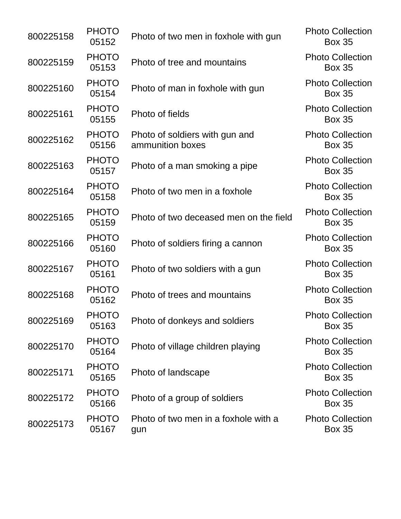| 800225158 | <b>PHOTO</b><br>05152 | Photo of two men in foxhole with gun               | <b>Photo Collection</b><br><b>Box 35</b> |
|-----------|-----------------------|----------------------------------------------------|------------------------------------------|
| 800225159 | <b>PHOTO</b><br>05153 | Photo of tree and mountains                        | <b>Photo Collection</b><br><b>Box 35</b> |
| 800225160 | <b>PHOTO</b><br>05154 | Photo of man in foxhole with gun                   | <b>Photo Collection</b><br><b>Box 35</b> |
| 800225161 | <b>PHOTO</b><br>05155 | Photo of fields                                    | <b>Photo Collection</b><br><b>Box 35</b> |
| 800225162 | <b>PHOTO</b><br>05156 | Photo of soldiers with gun and<br>ammunition boxes | <b>Photo Collection</b><br><b>Box 35</b> |
| 800225163 | <b>PHOTO</b><br>05157 | Photo of a man smoking a pipe                      | <b>Photo Collection</b><br><b>Box 35</b> |
| 800225164 | <b>PHOTO</b><br>05158 | Photo of two men in a foxhole                      | <b>Photo Collection</b><br><b>Box 35</b> |
| 800225165 | <b>PHOTO</b><br>05159 | Photo of two deceased men on the field             | <b>Photo Collection</b><br><b>Box 35</b> |
| 800225166 | <b>PHOTO</b><br>05160 | Photo of soldiers firing a cannon                  | <b>Photo Collection</b><br><b>Box 35</b> |
| 800225167 | <b>PHOTO</b><br>05161 | Photo of two soldiers with a gun                   | <b>Photo Collection</b><br><b>Box 35</b> |
| 800225168 | <b>PHOTO</b><br>05162 | Photo of trees and mountains                       | <b>Photo Collection</b><br><b>Box 35</b> |
| 800225169 | <b>PHOTO</b><br>05163 | Photo of donkeys and soldiers                      | <b>Photo Collection</b><br><b>Box 35</b> |
| 800225170 | <b>PHOTO</b><br>05164 | Photo of village children playing                  | <b>Photo Collection</b><br><b>Box 35</b> |
| 800225171 | <b>PHOTO</b><br>05165 | Photo of landscape                                 | <b>Photo Collection</b><br><b>Box 35</b> |
| 800225172 | <b>PHOTO</b><br>05166 | Photo of a group of soldiers                       | <b>Photo Collection</b><br><b>Box 35</b> |
| 800225173 | <b>PHOTO</b><br>05167 | Photo of two men in a foxhole with a<br>gun        | <b>Photo Collection</b><br><b>Box 35</b> |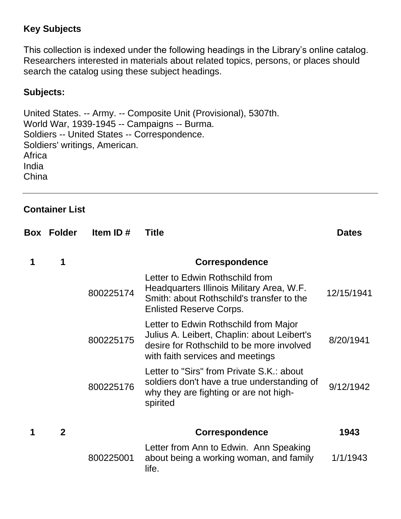# **Key Subjects**

This collection is indexed under the following headings in the Library's online catalog. Researchers interested in materials about related topics, persons, or places should search the catalog using these subject headings.

### **Subjects:**

United States. -- Army. -- Composite Unit (Provisional), 5307th. World War, 1939-1945 -- Campaigns -- Burma. Soldiers -- United States -- Correspondence. Soldiers' writings, American. **Africa** India **China** 

#### **Container List**

| Box | <b>Folder</b> | Item ID $#$ | <b>Title</b>                                                                                                                                                          | <b>Dates</b> |
|-----|---------------|-------------|-----------------------------------------------------------------------------------------------------------------------------------------------------------------------|--------------|
| 1   | 1             |             | <b>Correspondence</b>                                                                                                                                                 |              |
|     |               | 800225174   | Letter to Edwin Rothschild from<br>Headquarters Illinois Military Area, W.F.<br>Smith: about Rothschild's transfer to the<br><b>Enlisted Reserve Corps.</b>           | 12/15/1941   |
|     |               | 800225175   | Letter to Edwin Rothschild from Major<br>Julius A. Leibert, Chaplin: about Leibert's<br>desire for Rothschild to be more involved<br>with faith services and meetings | 8/20/1941    |
|     |               | 800225176   | Letter to "Sirs" from Private S.K.: about<br>soldiers don't have a true understanding of<br>why they are fighting or are not high-<br>spirited                        | 9/12/1942    |
|     | $\mathbf 2$   |             | <b>Correspondence</b>                                                                                                                                                 | 1943         |
|     |               | 800225001   | Letter from Ann to Edwin. Ann Speaking<br>about being a working woman, and family<br>life.                                                                            | 1/1/1943     |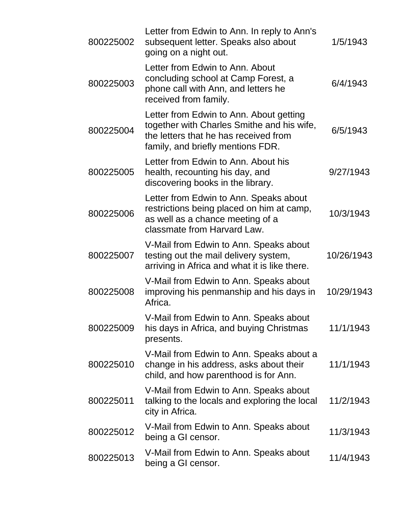| 800225002 | Letter from Edwin to Ann. In reply to Ann's<br>subsequent letter. Speaks also about<br>going on a night out.                                                        | 1/5/1943   |
|-----------|---------------------------------------------------------------------------------------------------------------------------------------------------------------------|------------|
| 800225003 | Letter from Edwin to Ann. About<br>concluding school at Camp Forest, a<br>phone call with Ann, and letters he<br>received from family.                              | 6/4/1943   |
| 800225004 | Letter from Edwin to Ann. About getting<br>together with Charles Smithe and his wife,<br>the letters that he has received from<br>family, and briefly mentions FDR. | 6/5/1943   |
| 800225005 | Letter from Edwin to Ann. About his<br>health, recounting his day, and<br>discovering books in the library.                                                         | 9/27/1943  |
| 800225006 | Letter from Edwin to Ann. Speaks about<br>restrictions being placed on him at camp,<br>as well as a chance meeting of a<br>classmate from Harvard Law.              | 10/3/1943  |
| 800225007 | V-Mail from Edwin to Ann. Speaks about<br>testing out the mail delivery system,<br>arriving in Africa and what it is like there.                                    | 10/26/1943 |
| 800225008 | V-Mail from Edwin to Ann. Speaks about<br>improving his penmanship and his days in<br>Africa.                                                                       | 10/29/1943 |
| 800225009 | V-Mail from Edwin to Ann. Speaks about<br>his days in Africa, and buying Christmas<br>presents.                                                                     | 11/1/1943  |
| 800225010 | V-Mail from Edwin to Ann. Speaks about a<br>change in his address, asks about their<br>child, and how parenthood is for Ann.                                        | 11/1/1943  |
| 800225011 | V-Mail from Edwin to Ann. Speaks about<br>talking to the locals and exploring the local<br>city in Africa.                                                          | 11/2/1943  |
| 800225012 | V-Mail from Edwin to Ann. Speaks about<br>being a GI censor.                                                                                                        | 11/3/1943  |
| 800225013 | V-Mail from Edwin to Ann. Speaks about<br>being a GI censor.                                                                                                        | 11/4/1943  |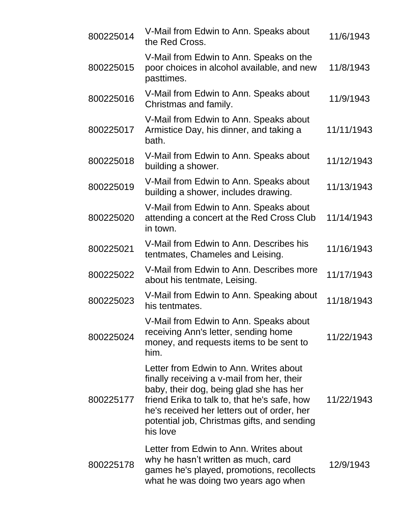| 800225014 | V-Mail from Edwin to Ann. Speaks about<br>the Red Cross.                                                                                                                                                                                                                                  | 11/6/1943  |
|-----------|-------------------------------------------------------------------------------------------------------------------------------------------------------------------------------------------------------------------------------------------------------------------------------------------|------------|
| 800225015 | V-Mail from Edwin to Ann. Speaks on the<br>poor choices in alcohol available, and new<br>pasttimes.                                                                                                                                                                                       | 11/8/1943  |
| 800225016 | V-Mail from Edwin to Ann. Speaks about<br>Christmas and family.                                                                                                                                                                                                                           | 11/9/1943  |
| 800225017 | V-Mail from Edwin to Ann. Speaks about<br>Armistice Day, his dinner, and taking a<br>bath.                                                                                                                                                                                                | 11/11/1943 |
| 800225018 | V-Mail from Edwin to Ann. Speaks about<br>building a shower.                                                                                                                                                                                                                              | 11/12/1943 |
| 800225019 | V-Mail from Edwin to Ann. Speaks about<br>building a shower, includes drawing.                                                                                                                                                                                                            | 11/13/1943 |
| 800225020 | V-Mail from Edwin to Ann. Speaks about<br>attending a concert at the Red Cross Club<br>in town.                                                                                                                                                                                           | 11/14/1943 |
| 800225021 | V-Mail from Edwin to Ann. Describes his<br>tentmates, Chameles and Leising.                                                                                                                                                                                                               | 11/16/1943 |
| 800225022 | V-Mail from Edwin to Ann. Describes more<br>about his tentmate, Leising.                                                                                                                                                                                                                  | 11/17/1943 |
| 800225023 | V-Mail from Edwin to Ann. Speaking about<br>his tentmates.                                                                                                                                                                                                                                | 11/18/1943 |
| 800225024 | V-Mail from Edwin to Ann. Speaks about<br>receiving Ann's letter, sending home<br>money, and requests items to be sent to<br>him.                                                                                                                                                         | 11/22/1943 |
| 800225177 | Letter from Edwin to Ann. Writes about<br>finally receiving a v-mail from her, their<br>baby, their dog, being glad she has her<br>friend Erika to talk to, that he's safe, how<br>he's received her letters out of order, her<br>potential job, Christmas gifts, and sending<br>his love | 11/22/1943 |
| 800225178 | Letter from Edwin to Ann. Writes about<br>why he hasn't written as much, card<br>games he's played, promotions, recollects<br>what he was doing two years ago when                                                                                                                        | 12/9/1943  |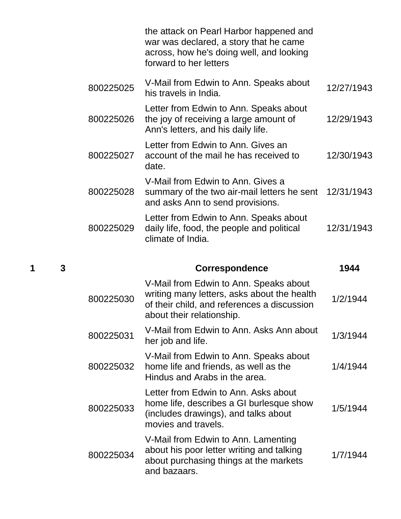|   |   |           | the attack on Pearl Harbor happened and<br>war was declared, a story that he came<br>across, how he's doing well, and looking<br>forward to her letters           |            |
|---|---|-----------|-------------------------------------------------------------------------------------------------------------------------------------------------------------------|------------|
|   |   | 800225025 | V-Mail from Edwin to Ann. Speaks about<br>his travels in India.                                                                                                   | 12/27/1943 |
|   |   | 800225026 | Letter from Edwin to Ann. Speaks about<br>the joy of receiving a large amount of<br>Ann's letters, and his daily life.                                            | 12/29/1943 |
|   |   | 800225027 | Letter from Edwin to Ann. Gives an<br>account of the mail he has received to<br>date.                                                                             | 12/30/1943 |
|   |   | 800225028 | V-Mail from Edwin to Ann. Gives a<br>summary of the two air-mail letters he sent<br>and asks Ann to send provisions.                                              | 12/31/1943 |
|   |   | 800225029 | Letter from Edwin to Ann. Speaks about<br>daily life, food, the people and political<br>climate of India.                                                         | 12/31/1943 |
|   |   |           |                                                                                                                                                                   |            |
| 1 | 3 |           | <b>Correspondence</b>                                                                                                                                             | 1944       |
|   |   | 800225030 | V-Mail from Edwin to Ann. Speaks about<br>writing many letters, asks about the health<br>of their child, and references a discussion<br>about their relationship. | 1/2/1944   |
|   |   | 800225031 | V-Mail from Edwin to Ann. Asks Ann about<br>her job and life.                                                                                                     | 1/3/1944   |
|   |   | 800225032 | V-Mail from Edwin to Ann. Speaks about<br>home life and friends, as well as the<br>Hindus and Arabs in the area.                                                  | 1/4/1944   |
|   |   | 800225033 | Letter from Edwin to Ann. Asks about<br>home life, describes a GI burlesque show<br>(includes drawings), and talks about<br>movies and travels.                   | 1/5/1944   |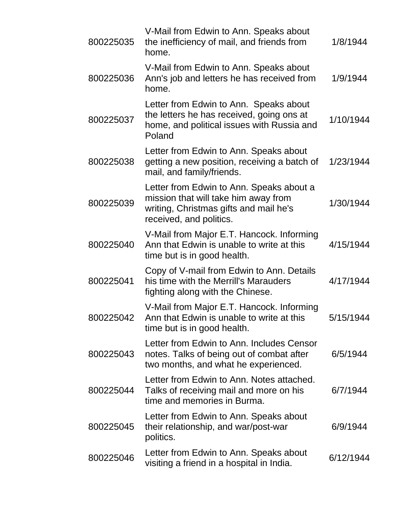| 800225035 | V-Mail from Edwin to Ann. Speaks about<br>the inefficiency of mail, and friends from<br>home.                                                         | 1/8/1944  |
|-----------|-------------------------------------------------------------------------------------------------------------------------------------------------------|-----------|
| 800225036 | V-Mail from Edwin to Ann. Speaks about<br>Ann's job and letters he has received from<br>home.                                                         | 1/9/1944  |
| 800225037 | Letter from Edwin to Ann. Speaks about<br>the letters he has received, going ons at<br>home, and political issues with Russia and<br>Poland           | 1/10/1944 |
| 800225038 | Letter from Edwin to Ann. Speaks about<br>getting a new position, receiving a batch of<br>mail, and family/friends.                                   | 1/23/1944 |
| 800225039 | Letter from Edwin to Ann. Speaks about a<br>mission that will take him away from<br>writing, Christmas gifts and mail he's<br>received, and politics. | 1/30/1944 |
| 800225040 | V-Mail from Major E.T. Hancock. Informing<br>Ann that Edwin is unable to write at this<br>time but is in good health.                                 | 4/15/1944 |
| 800225041 | Copy of V-mail from Edwin to Ann. Details<br>his time with the Merrill's Marauders<br>fighting along with the Chinese.                                | 4/17/1944 |
| 800225042 | V-Mail from Major E.T. Hancock. Informing<br>Ann that Edwin is unable to write at this<br>time but is in good health.                                 | 5/15/1944 |
| 800225043 | Letter from Edwin to Ann. Includes Censor<br>notes. Talks of being out of combat after<br>two months, and what he experienced.                        | 6/5/1944  |
| 800225044 | Letter from Edwin to Ann. Notes attached.<br>Talks of receiving mail and more on his<br>time and memories in Burma.                                   | 6/7/1944  |
| 800225045 | Letter from Edwin to Ann. Speaks about<br>their relationship, and war/post-war<br>politics.                                                           | 6/9/1944  |
| 800225046 | Letter from Edwin to Ann. Speaks about<br>visiting a friend in a hospital in India.                                                                   | 6/12/1944 |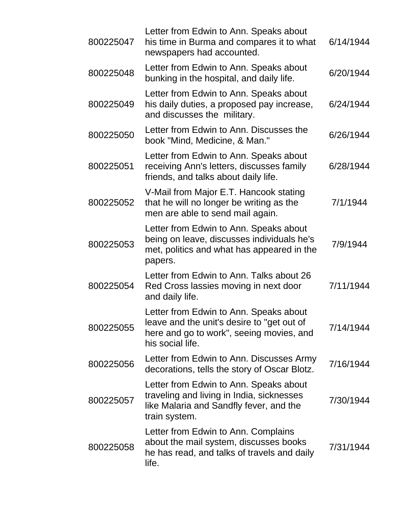| 800225047 | Letter from Edwin to Ann. Speaks about<br>his time in Burma and compares it to what<br>newspapers had accounted.                                     | 6/14/1944 |
|-----------|------------------------------------------------------------------------------------------------------------------------------------------------------|-----------|
| 800225048 | Letter from Edwin to Ann. Speaks about<br>bunking in the hospital, and daily life.                                                                   | 6/20/1944 |
| 800225049 | Letter from Edwin to Ann. Speaks about<br>his daily duties, a proposed pay increase,<br>and discusses the military.                                  | 6/24/1944 |
| 800225050 | Letter from Edwin to Ann. Discusses the<br>book "Mind, Medicine, & Man."                                                                             | 6/26/1944 |
| 800225051 | Letter from Edwin to Ann. Speaks about<br>receiving Ann's letters, discusses family<br>friends, and talks about daily life.                          | 6/28/1944 |
| 800225052 | V-Mail from Major E.T. Hancook stating<br>that he will no longer be writing as the<br>men are able to send mail again.                               | 7/1/1944  |
| 800225053 | Letter from Edwin to Ann. Speaks about<br>being on leave, discusses individuals he's<br>met, politics and what has appeared in the<br>papers.        | 7/9/1944  |
| 800225054 | Letter from Edwin to Ann. Talks about 26<br>Red Cross lassies moving in next door<br>and daily life.                                                 | 7/11/1944 |
| 800225055 | Letter from Edwin to Ann. Speaks about<br>leave and the unit's desire to "get out of<br>here and go to work", seeing movies, and<br>his social life. | 7/14/1944 |
| 800225056 | Letter from Edwin to Ann. Discusses Army<br>decorations, tells the story of Oscar Blotz.                                                             | 7/16/1944 |
| 800225057 | Letter from Edwin to Ann. Speaks about<br>traveling and living in India, sicknesses<br>like Malaria and Sandfly fever, and the<br>train system.      | 7/30/1944 |
| 800225058 | Letter from Edwin to Ann. Complains<br>about the mail system, discusses books<br>he has read, and talks of travels and daily<br>life.                | 7/31/1944 |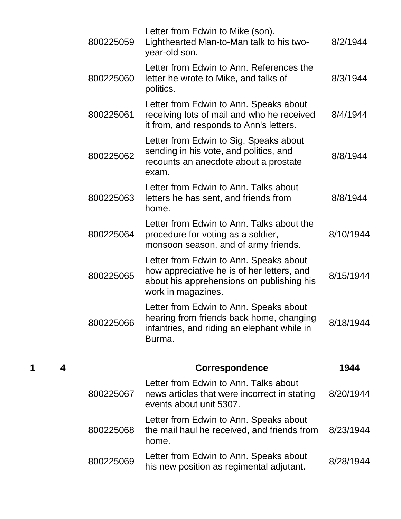| 800225059 | Letter from Edwin to Mike (son).<br>Lighthearted Man-to-Man talk to his two-<br>year-old son.                                                           | 8/2/1944  |
|-----------|---------------------------------------------------------------------------------------------------------------------------------------------------------|-----------|
| 800225060 | Letter from Edwin to Ann. References the<br>letter he wrote to Mike, and talks of<br>politics.                                                          | 8/3/1944  |
| 800225061 | Letter from Edwin to Ann. Speaks about<br>receiving lots of mail and who he received<br>it from, and responds to Ann's letters.                         | 8/4/1944  |
| 800225062 | Letter from Edwin to Sig. Speaks about<br>sending in his vote, and politics, and<br>recounts an anecdote about a prostate<br>exam.                      | 8/8/1944  |
| 800225063 | Letter from Edwin to Ann. Talks about<br>letters he has sent, and friends from<br>home.                                                                 | 8/8/1944  |
| 800225064 | Letter from Edwin to Ann. Talks about the<br>procedure for voting as a soldier,<br>monsoon season, and of army friends.                                 | 8/10/1944 |
| 800225065 | Letter from Edwin to Ann. Speaks about<br>how appreciative he is of her letters, and<br>about his apprehensions on publishing his<br>work in magazines. | 8/15/1944 |
| 800225066 | Letter from Edwin to Ann. Speaks about<br>hearing from friends back home, changing<br>infantries, and riding an elephant while in<br>Burma.             | 8/18/1944 |
|           | <b>Correspondence</b>                                                                                                                                   | 1944      |
| 800225067 | Letter from Edwin to Ann. Talks about<br>news articles that were incorrect in stating<br>events about unit 5307.                                        | 8/20/1944 |
| 800225068 | Letter from Edwin to Ann. Speaks about<br>the mail haul he received, and friends from<br>home.                                                          | 8/23/1944 |
| 800225069 | Letter from Edwin to Ann. Speaks about<br>his new position as regimental adjutant.                                                                      | 8/28/1944 |

**1 4 Correspondence 1944**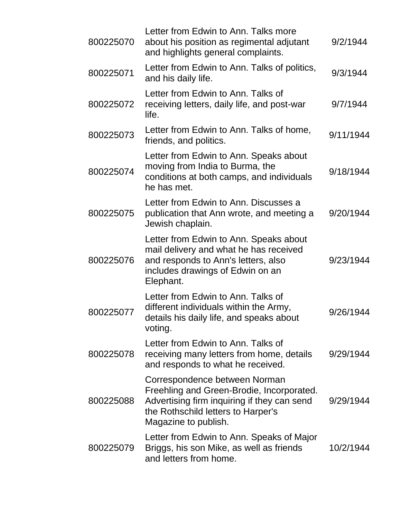| 800225070 | Letter from Edwin to Ann. Talks more<br>about his position as regimental adjutant<br>and highlights general complaints.                                                                 | 9/2/1944  |
|-----------|-----------------------------------------------------------------------------------------------------------------------------------------------------------------------------------------|-----------|
| 800225071 | Letter from Edwin to Ann. Talks of politics,<br>and his daily life.                                                                                                                     | 9/3/1944  |
| 800225072 | Letter from Edwin to Ann. Talks of<br>receiving letters, daily life, and post-war<br>life.                                                                                              | 9/7/1944  |
| 800225073 | Letter from Edwin to Ann. Talks of home,<br>friends, and politics.                                                                                                                      | 9/11/1944 |
| 800225074 | Letter from Edwin to Ann. Speaks about<br>moving from India to Burma, the<br>conditions at both camps, and individuals<br>he has met.                                                   | 9/18/1944 |
| 800225075 | Letter from Edwin to Ann. Discusses a<br>publication that Ann wrote, and meeting a<br>Jewish chaplain.                                                                                  | 9/20/1944 |
| 800225076 | Letter from Edwin to Ann. Speaks about<br>mail delivery and what he has received<br>and responds to Ann's letters, also<br>includes drawings of Edwin on an<br>Elephant.                | 9/23/1944 |
| 800225077 | Letter from Edwin to Ann. Talks of<br>different individuals within the Army,<br>details his daily life, and speaks about<br>voting.                                                     | 9/26/1944 |
| 800225078 | Letter from Edwin to Ann. Talks of<br>receiving many letters from home, details<br>and responds to what he received.                                                                    | 9/29/1944 |
| 800225088 | Correspondence between Norman<br>Freehling and Green-Brodie, Incorporated.<br>Advertising firm inquiring if they can send<br>the Rothschild letters to Harper's<br>Magazine to publish. | 9/29/1944 |
| 800225079 | Letter from Edwin to Ann. Speaks of Major<br>Briggs, his son Mike, as well as friends<br>and letters from home.                                                                         | 10/2/1944 |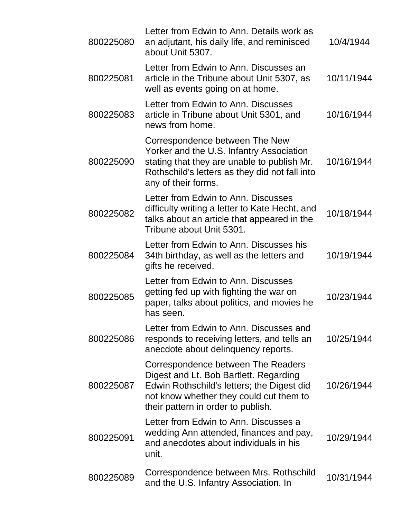| 800225080 | Letter from Edwin to Ann. Details work as<br>an adjutant, his daily life, and reminisced<br>about Unit 5307.                                                                                                | 10/4/1944  |
|-----------|-------------------------------------------------------------------------------------------------------------------------------------------------------------------------------------------------------------|------------|
| 800225081 | Letter from Edwin to Ann. Discusses an<br>article in the Tribune about Unit 5307, as<br>well as events going on at home.                                                                                    | 10/11/1944 |
| 800225083 | Letter from Edwin to Ann. Discusses<br>article in Tribune about Unit 5301, and<br>news from home.                                                                                                           | 10/16/1944 |
| 800225090 | Correspondence between The New<br>Yorker and the U.S. Infantry Association<br>stating that they are unable to publish Mr.<br>Rothschild's letters as they did not fall into<br>any of their forms.          | 10/16/1944 |
| 800225082 | Letter from Edwin to Ann. Discusses<br>difficulty writing a letter to Kate Hecht, and<br>talks about an article that appeared in the<br>Tribune about Unit 5301.                                            | 10/18/1944 |
| 800225084 | Letter from Edwin to Ann. Discusses his<br>34th birthday, as well as the letters and<br>gifts he received.                                                                                                  | 10/19/1944 |
| 800225085 | Letter from Edwin to Ann. Discusses<br>getting fed up with fighting the war on<br>paper, talks about politics, and movies he<br>has seen.                                                                   | 10/23/1944 |
| 800225086 | Letter from Edwin to Ann. Discusses and<br>responds to receiving letters, and tells an<br>anecdote about delinquency reports.                                                                               | 10/25/1944 |
| 800225087 | Correspondence between The Readers<br>Digest and Lt. Bob Bartlett. Regarding<br>Edwin Rothschild's letters; the Digest did<br>not know whether they could cut them to<br>their pattern in order to publish. | 10/26/1944 |
| 800225091 | Letter from Edwin to Ann. Discusses a<br>wedding Ann attended, finances and pay,<br>and anecdotes about individuals in his<br>unit.                                                                         | 10/29/1944 |
| 800225089 | Correspondence between Mrs. Rothschild<br>and the U.S. Infantry Association. In                                                                                                                             | 10/31/1944 |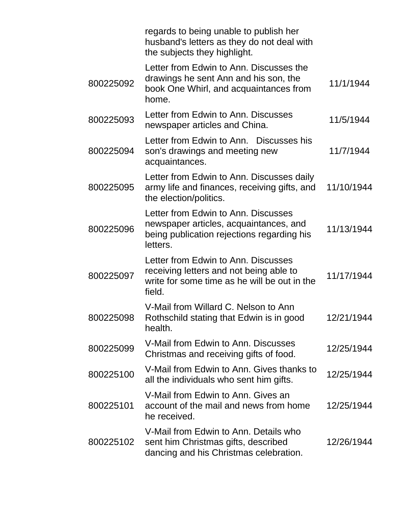|           | regards to being unable to publish her<br>husband's letters as they do not deal with<br>the subjects they highlight.                     |            |
|-----------|------------------------------------------------------------------------------------------------------------------------------------------|------------|
| 800225092 | Letter from Edwin to Ann. Discusses the<br>drawings he sent Ann and his son, the<br>book One Whirl, and acquaintances from<br>home.      | 11/1/1944  |
| 800225093 | Letter from Edwin to Ann. Discusses<br>newspaper articles and China.                                                                     | 11/5/1944  |
| 800225094 | Letter from Edwin to Ann. Discusses his<br>son's drawings and meeting new<br>acquaintances.                                              | 11/7/1944  |
| 800225095 | Letter from Edwin to Ann. Discusses daily<br>army life and finances, receiving gifts, and<br>the election/politics.                      | 11/10/1944 |
| 800225096 | Letter from Edwin to Ann. Discusses<br>newspaper articles, acquaintances, and<br>being publication rejections regarding his<br>letters.  | 11/13/1944 |
| 800225097 | Letter from Edwin to Ann. Discusses<br>receiving letters and not being able to<br>write for some time as he will be out in the<br>field. | 11/17/1944 |
| 800225098 | V-Mail from Willard C. Nelson to Ann<br>Rothschild stating that Edwin is in good<br>health.                                              | 12/21/1944 |
| 800225099 | V-Mail from Edwin to Ann. Discusses<br>Christmas and receiving gifts of food.                                                            | 12/25/1944 |
| 800225100 | V-Mail from Edwin to Ann. Gives thanks to<br>all the individuals who sent him gifts.                                                     | 12/25/1944 |
| 800225101 | V-Mail from Edwin to Ann. Gives an<br>account of the mail and news from home<br>he received.                                             | 12/25/1944 |
| 800225102 | V-Mail from Edwin to Ann. Details who<br>sent him Christmas gifts, described<br>dancing and his Christmas celebration.                   | 12/26/1944 |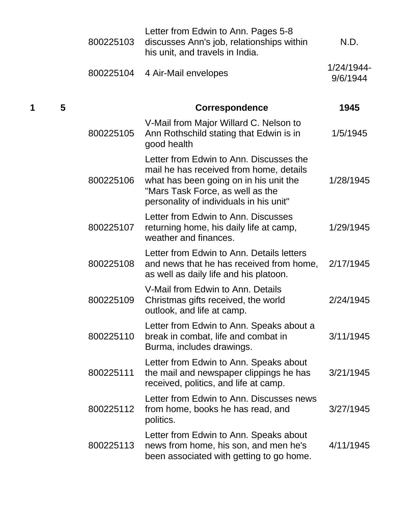|        | 800225103 | Letter from Edwin to Ann. Pages 5-8<br>discusses Ann's job, relationships within<br>his unit, and travels in India.                                                                                         | N.D.                   |
|--------|-----------|-------------------------------------------------------------------------------------------------------------------------------------------------------------------------------------------------------------|------------------------|
|        | 800225104 | 4 Air-Mail envelopes                                                                                                                                                                                        | 1/24/1944-<br>9/6/1944 |
| 5<br>1 |           | <b>Correspondence</b>                                                                                                                                                                                       | 1945                   |
|        | 800225105 | V-Mail from Major Willard C. Nelson to<br>Ann Rothschild stating that Edwin is in<br>good health                                                                                                            | 1/5/1945               |
|        | 800225106 | Letter from Edwin to Ann. Discusses the<br>mail he has received from home, details<br>what has been going on in his unit the<br>"Mars Task Force, as well as the<br>personality of individuals in his unit" | 1/28/1945              |
|        | 800225107 | Letter from Edwin to Ann. Discusses<br>returning home, his daily life at camp,<br>weather and finances.                                                                                                     | 1/29/1945              |
|        | 800225108 | Letter from Edwin to Ann. Details letters<br>and news that he has received from home,<br>as well as daily life and his platoon.                                                                             | 2/17/1945              |
|        | 800225109 | V-Mail from Edwin to Ann. Details<br>Christmas gifts received, the world<br>outlook, and life at camp.                                                                                                      | 2/24/1945              |
|        | 800225110 | Letter from Edwin to Ann. Speaks about a<br>break in combat, life and combat in<br>Burma, includes drawings.                                                                                                | 3/11/1945              |
|        | 800225111 | Letter from Edwin to Ann. Speaks about<br>the mail and newspaper clippings he has<br>received, politics, and life at camp.                                                                                  | 3/21/1945              |
|        | 800225112 | Letter from Edwin to Ann. Discusses news<br>from home, books he has read, and<br>politics.                                                                                                                  | 3/27/1945              |
|        | 800225113 | Letter from Edwin to Ann. Speaks about<br>news from home, his son, and men he's<br>been associated with getting to go home.                                                                                 | 4/11/1945              |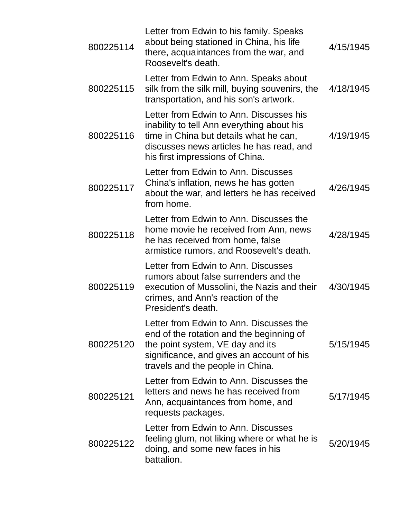| 800225114 | Letter from Edwin to his family. Speaks<br>about being stationed in China, his life<br>there, acquaintances from the war, and<br>Roosevelt's death.                                                            | 4/15/1945 |
|-----------|----------------------------------------------------------------------------------------------------------------------------------------------------------------------------------------------------------------|-----------|
| 800225115 | Letter from Edwin to Ann. Speaks about<br>silk from the silk mill, buying souvenirs, the<br>transportation, and his son's artwork.                                                                             | 4/18/1945 |
| 800225116 | Letter from Edwin to Ann. Discusses his<br>inability to tell Ann everything about his<br>time in China but details what he can,<br>discusses news articles he has read, and<br>his first impressions of China. | 4/19/1945 |
| 800225117 | Letter from Edwin to Ann. Discusses<br>China's inflation, news he has gotten<br>about the war, and letters he has received<br>from home.                                                                       | 4/26/1945 |
| 800225118 | Letter from Edwin to Ann. Discusses the<br>home movie he received from Ann, news<br>he has received from home, false<br>armistice rumors, and Roosevelt's death.                                               | 4/28/1945 |
| 800225119 | Letter from Edwin to Ann. Discusses<br>rumors about false surrenders and the<br>execution of Mussolini, the Nazis and their<br>crimes, and Ann's reaction of the<br>President's death.                         | 4/30/1945 |
| 800225120 | Letter from Edwin to Ann. Discusses the<br>end of the rotation and the beginning of<br>the point system, VE day and its<br>significance, and gives an account of his<br>travels and the people in China.       | 5/15/1945 |
| 800225121 | Letter from Edwin to Ann. Discusses the<br>letters and news he has received from<br>Ann, acquaintances from home, and<br>requests packages.                                                                    | 5/17/1945 |
| 800225122 | Letter from Edwin to Ann. Discusses<br>feeling glum, not liking where or what he is<br>doing, and some new faces in his<br>battalion.                                                                          | 5/20/1945 |
|           |                                                                                                                                                                                                                |           |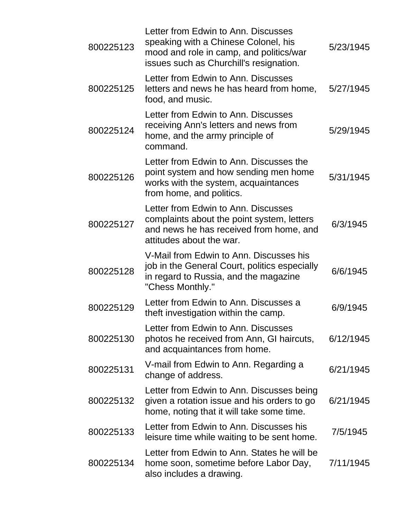| 800225123 | Letter from Edwin to Ann. Discusses<br>speaking with a Chinese Colonel, his<br>mood and role in camp, and politics/war<br>issues such as Churchill's resignation. | 5/23/1945 |
|-----------|-------------------------------------------------------------------------------------------------------------------------------------------------------------------|-----------|
| 800225125 | Letter from Edwin to Ann. Discusses<br>letters and news he has heard from home,<br>food, and music.                                                               | 5/27/1945 |
| 800225124 | Letter from Edwin to Ann. Discusses<br>receiving Ann's letters and news from<br>home, and the army principle of<br>command.                                       | 5/29/1945 |
| 800225126 | Letter from Edwin to Ann. Discusses the<br>point system and how sending men home<br>works with the system, acquaintances<br>from home, and politics.              | 5/31/1945 |
| 800225127 | Letter from Edwin to Ann. Discusses<br>complaints about the point system, letters<br>and news he has received from home, and<br>attitudes about the war.          | 6/3/1945  |
| 800225128 | V-Mail from Edwin to Ann. Discusses his<br>job in the General Court, politics especially<br>in regard to Russia, and the magazine<br>"Chess Monthly."             | 6/6/1945  |
| 800225129 | Letter from Edwin to Ann. Discusses a<br>theft investigation within the camp.                                                                                     | 6/9/1945  |
| 800225130 | Letter from Edwin to Ann. Discusses<br>photos he received from Ann, GI haircuts,<br>and acquaintances from home.                                                  | 6/12/1945 |
| 800225131 | V-mail from Edwin to Ann. Regarding a<br>change of address.                                                                                                       | 6/21/1945 |
| 800225132 | Letter from Edwin to Ann. Discusses being<br>given a rotation issue and his orders to go<br>home, noting that it will take some time.                             | 6/21/1945 |
| 800225133 | Letter from Edwin to Ann. Discusses his<br>leisure time while waiting to be sent home.                                                                            | 7/5/1945  |
| 800225134 | Letter from Edwin to Ann. States he will be<br>home soon, sometime before Labor Day,<br>also includes a drawing.                                                  | 7/11/1945 |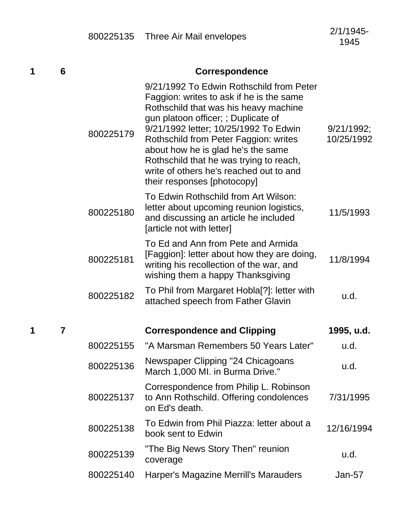| 1 | 6              | <b>Correspondence</b> |                                                                                                                                                                                                                                                                                                                                                                                                                   |                          |  |
|---|----------------|-----------------------|-------------------------------------------------------------------------------------------------------------------------------------------------------------------------------------------------------------------------------------------------------------------------------------------------------------------------------------------------------------------------------------------------------------------|--------------------------|--|
|   |                | 800225179             | 9/21/1992 To Edwin Rothschild from Peter<br>Faggion: writes to ask if he is the same<br>Rothschild that was his heavy machine<br>gun platoon officer; ; Duplicate of<br>9/21/1992 letter; 10/25/1992 To Edwin<br>Rothschild from Peter Faggion: writes<br>about how he is glad he's the same<br>Rothschild that he was trying to reach,<br>write of others he's reached out to and<br>their responses [photocopy] | 9/21/1992;<br>10/25/1992 |  |
|   |                | 800225180             | To Edwin Rothschild from Art Wilson:<br>letter about upcoming reunion logistics,<br>and discussing an article he included<br>[article not with letter]                                                                                                                                                                                                                                                            | 11/5/1993                |  |
|   |                | 800225181             | To Ed and Ann from Pete and Armida<br>[Faggion]: letter about how they are doing,<br>writing his recollection of the war, and<br>wishing them a happy Thanksgiving                                                                                                                                                                                                                                                | 11/8/1994                |  |
|   |                | 800225182             | To Phil from Margaret Hobla[?]: letter with<br>attached speech from Father Glavin                                                                                                                                                                                                                                                                                                                                 | u.d.                     |  |
| 1 | $\overline{7}$ |                       | <b>Correspondence and Clipping</b>                                                                                                                                                                                                                                                                                                                                                                                | 1995, u.d.               |  |
|   |                | 800225155             | "A Marsman Remembers 50 Years Later"                                                                                                                                                                                                                                                                                                                                                                              | u.d.                     |  |
|   |                | 800225136             | Newspaper Clipping "24 Chicagoans<br>March 1,000 MI. in Burma Drive."                                                                                                                                                                                                                                                                                                                                             | u.d.                     |  |
|   |                | 800225137             | Correspondence from Philip L. Robinson<br>to Ann Rothschild. Offering condolences<br>on Ed's death.                                                                                                                                                                                                                                                                                                               | 7/31/1995                |  |
|   |                | 800225138             | To Edwin from Phil Piazza: letter about a<br>book sent to Edwin                                                                                                                                                                                                                                                                                                                                                   | 12/16/1994               |  |
|   |                | 800225139             | "The Big News Story Then" reunion<br>coverage                                                                                                                                                                                                                                                                                                                                                                     | u.d.                     |  |
|   |                | 800225140             | Harper's Magazine Merrill's Marauders                                                                                                                                                                                                                                                                                                                                                                             | Jan-57                   |  |